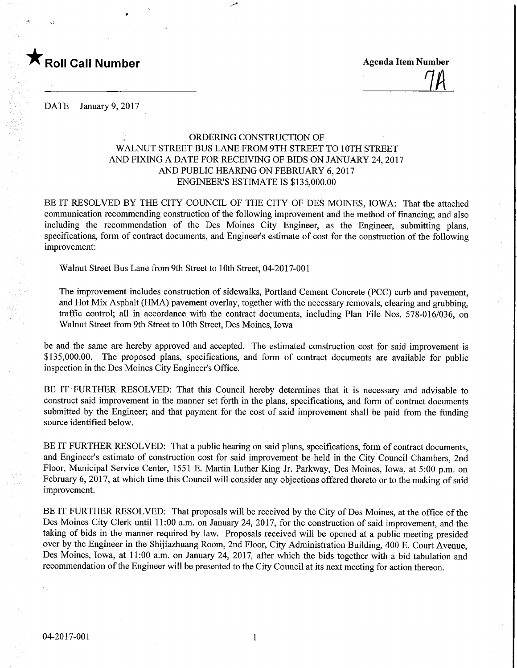

 $\frac{1}{4}$ 

DATE January 9, 2017

## ORDERING CONSTRUCTION OF WALNUT STREET BUS LANE FROM 9TH STREET TO 10TH STREET AND FIXING A DATE FOR RECEWING OF BIDS ON JANUARY 24,2017 AND PUBLIC HEARING ON FEBRUARY 6,2017 ENGINEER'S ESTIMATE IS \$135,000.00

BE IT RESOLVED BY THE CITY COUNCIL OF THE CITY OF DES MOINES, IOWA: That the attached communication recommending construction of the following improvement and the method of financing; and also including the recommendation of the Des Moines City Engineer, as the Engineer, submitting plans, specifications, form of contract documents, and Engineer's estimate of cost for the construction of the following improvement:

Walnut Street Bus Lane from 9th Street to 10th Street, 04-2017-001

The improvement includes construction of sidewalks, Portland Cement Concrete (PCC) curb and pavement, and Hot Mix Asphalt (HMA) pavement overlay, together with the necessary removals, clearing and grubbing, traffic control; all in accordance with the contract documents, including Plan File Nos. 578-016/036, on Walnut Street from 9th Street to 10th Street, Des Moines, Iowa

be and the same are hereby approved and accepted. The estimated construction cost for said improvement is \$135,000.00. The proposed plans, specifications, and form of contract documents are available for public inspection in the Des Moines City Engineer's Office.

BE IT FURTHER RESOLVED: That this Council hereby determines that it is necessary and advisable to construct said improvement in the manner set forth in the plans, specifications, and form of contract documents submitted by the Engineer; and that payment for the cost of said improvement shall be paid from the funding source identified below.

BE IT FURTHER RESOLVED: That a public hearing on said plans, specifications, form of contract documents, and Engineer's estimate of construction cost for said improvement be held in the City Council Chambers, 2nd Floor, Municipal Service Center, 1551 E. Martin Luther King Jr. Parkway, Des Moines, Iowa, at 5:00 p.m. on February 6, 2017, at which time this Council will consider any objections offered thereto or to the making of said improvement.

BE IT FURTHER RESOLVED: That proposals will be received by the City of Des Moines, at the office of the Des Moines City Clerk until 11:00 a.m. on January 24, 2017, for the construction of said improvement, and the taking of bids in the manner required by law. Proposals received will be opened at a public meeting presided over by the Engineer in the Shijiazhuang Room, 2nd Floor, City Administration Building, 400 E. Court Avenue, Des Moines, Iowa, at 11:00 a.m. on January 24, 2017, after which the bids together with a bid tabulation and recommendation of the Engineer will be presented to the City Council at its next meeting for action thereon.

 $\mathbf{1}$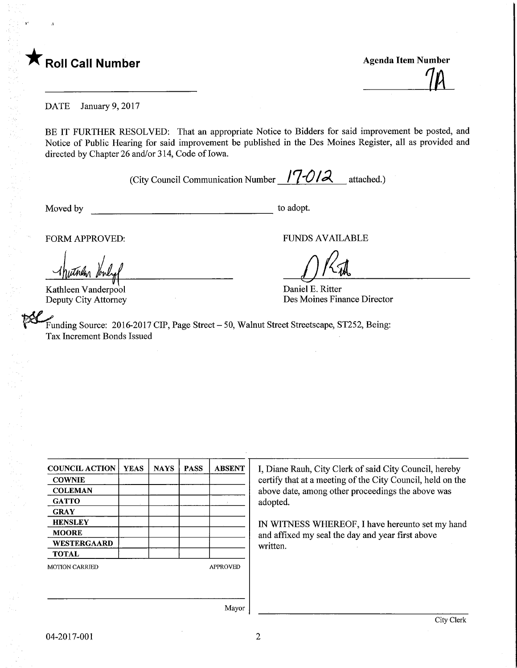## $\mathsf K$  Roll Call Number

**Agenda Item Number** 

DATE January 9, 2017

BE IT FURTHER RESOLVED: That an appropriate Notice to Bidders for said improvement be posted, and Notice of Public Hearing for said improvement be published in the Des Moines Register, all as provided and directed by Chapter 26 and/or 314, Code of Iowa.

(City Council Communication Number  $170/2$  attached.)

Moved by to adopt.

FORM APPROVED: FUNDS AVAILABLE

Kathleen Vanderpool Deputy City Attorney

Daniel E. Ritter Des Moines Finance Director

Funding Source: 2016-2017 CIP, Page Street - 50, Walnut Street Streetscape, ST252, Being: Tax Increment Bonds Issued

| <b>COUNCIL ACTION</b> | <b>YEAS</b> | <b>NAYS</b> | <b>PASS</b> | <b>ABSENT</b>   |  |  |
|-----------------------|-------------|-------------|-------------|-----------------|--|--|
| <b>COWNIE</b>         |             |             |             |                 |  |  |
| <b>COLEMAN</b>        |             |             |             |                 |  |  |
| <b>GATTO</b>          |             |             |             |                 |  |  |
| <b>GRAY</b>           |             |             |             |                 |  |  |
| <b>HENSLEY</b>        |             |             |             |                 |  |  |
| <b>MOORE</b>          |             |             |             |                 |  |  |
| WESTERGAARD           |             |             |             |                 |  |  |
| <b>TOTAL</b>          |             |             |             |                 |  |  |
| <b>MOTION CARRIED</b> |             |             |             | <b>APPROVED</b> |  |  |
|                       |             |             |             |                 |  |  |

I, Diane Rauh, City Clerk of said City Council, hereby certify that at a meeting of the City Council, held on the above date, among other proceedings the above was adopted.

IN WITNESS WHEREOF, I have hereunto set my hand and affixed my seal the day and year first above written.

Mayor